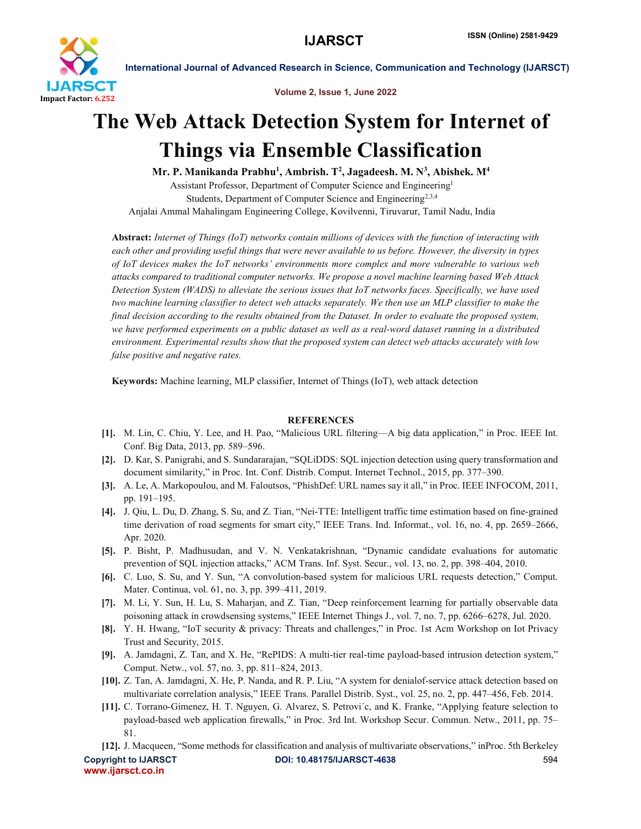

International Journal of Advanced Research in Science, Communication and Technology (IJARSCT)

Volume 2, Issue 1, June 2022

## The Web Attack Detection System for Internet of Things via Ensemble Classification

Mr. P. Manikanda Prabhu<sup>1</sup>, Ambrish. T<sup>2</sup>, Jagadeesh. M. N<sup>3</sup>, Abishek. M<sup>4</sup>

Assistant Professor, Department of Computer Science and Engineering1 Students, Department of Computer Science and Engineering<sup>2,3,4</sup> Anjalai Ammal Mahalingam Engineering College, Kovilvenni, Tiruvarur, Tamil Nadu, India

Abstract: *Internet of Things (IoT) networks contain millions of devices with the function of interacting with each other and providing useful things that were never available to us before. However, the diversity in types of IoT devices makes the IoT networks' environments more complex and more vulnerable to various web attacks compared to traditional computer networks. We propose a novel machine learning based Web Attack Detection System (WADS) to alleviate the serious issues that IoT networks faces. Specifically, we have used two machine learning classifier to detect web attacks separately. We then use an MLP classifier to make the final decision according to the results obtained from the Dataset. In order to evaluate the proposed system, we have performed experiments on a public dataset as well as a real-word dataset running in a distributed environment. Experimental results show that the proposed system can detect web attacks accurately with low false positive and negative rates.*

Keywords: Machine learning, MLP classifier, Internet of Things (IoT), web attack detection

## **REFERENCES**

- [1]. M. Lin, C. Chiu, Y. Lee, and H. Pao, "Malicious URL filtering—A big data application," in Proc. IEEE Int. Conf. Big Data, 2013, pp. 589–596.
- [2]. D. Kar, S. Panigrahi, and S. Sundararajan, "SQLiDDS: SQL injection detection using query transformation and document similarity," in Proc. Int. Conf. Distrib. Comput. Internet Technol., 2015, pp. 377–390.
- [3]. A. Le, A. Markopoulou, and M. Faloutsos, "PhishDef: URL names say it all," in Proc. IEEE INFOCOM, 2011, pp. 191–195.
- [4]. J. Qiu, L. Du, D. Zhang, S. Su, and Z. Tian, "Nei-TTE: Intelligent traffic time estimation based on fine-grained time derivation of road segments for smart city," IEEE Trans. Ind. Informat., vol. 16, no. 4, pp. 2659–2666, Apr. 2020.
- [5]. P. Bisht, P. Madhusudan, and V. N. Venkatakrishnan, "Dynamic candidate evaluations for automatic prevention of SQL injection attacks," ACM Trans. Inf. Syst. Secur., vol. 13, no. 2, pp. 398–404, 2010.
- [6]. C. Luo, S. Su, and Y. Sun, "A convolution-based system for malicious URL requests detection," Comput. Mater. Continua, vol. 61, no. 3, pp. 399–411, 2019.
- [7]. M. Li, Y. Sun, H. Lu, S. Maharjan, and Z. Tian, "Deep reinforcement learning for partially observable data poisoning attack in crowdsensing systems," IEEE Internet Things J., vol. 7, no. 7, pp. 6266–6278, Jul. 2020.
- [8]. Y. H. Hwang, "IoT security & privacy: Threats and challenges," in Proc. 1st Acm Workshop on Iot Privacy Trust and Security, 2015.
- [9]. A. Jamdagni, Z. Tan, and X. He, "RePIDS: A multi-tier real-time payload-based intrusion detection system," Comput. Netw., vol. 57, no. 3, pp. 811–824, 2013.
- [10]. Z. Tan, A. Jamdagni, X. He, P. Nanda, and R. P. Liu, "A system for denialof-service attack detection based on multivariate correlation analysis," IEEE Trans. Parallel Distrib. Syst., vol. 25, no. 2, pp. 447–456, Feb. 2014.
- [11]. C. Torrano-Gimenez, H. T. Nguyen, G. Alvarez, S. Petrovi´c, and K. Franke, "Applying feature selection to payload-based web application firewalls," in Proc. 3rd Int. Workshop Secur. Commun. Netw., 2011, pp. 75– 81.
- Copyright to IJARSCT **DOI: 10.48175/IJARSCT-4638** 594 [12]. J. Macqueen, "Some methods for classification and analysis of multivariate observations," inProc. 5th Berkeley

www.ijarsct.co.in